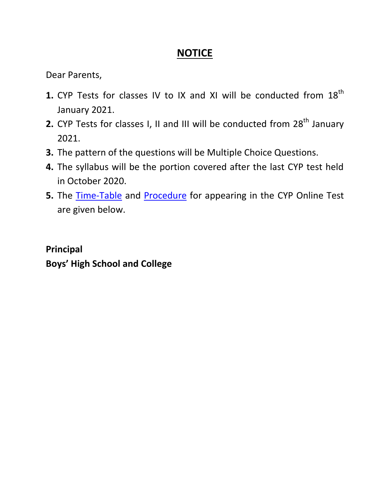## **NOTICE**

Dear Parents,

- **1.** CYP Tests for classes IV to IX and XI will be conducted from 18<sup>th</sup> January 2021.
- **2.** CYP Tests for classes I, II and III will be conducted from 28<sup>th</sup> January 2021.
- **3.** The pattern of the questions will be Multiple Choice Questions.
- **4.** The syllabus will be the portion covered after the last CYP test held in October 2020.
- **5.** The [Time-Table](#page-1-0) and [Procedure](#page-3-0) for appearing in the CYP Online Test are given below.

**Principal Boys' High School and College**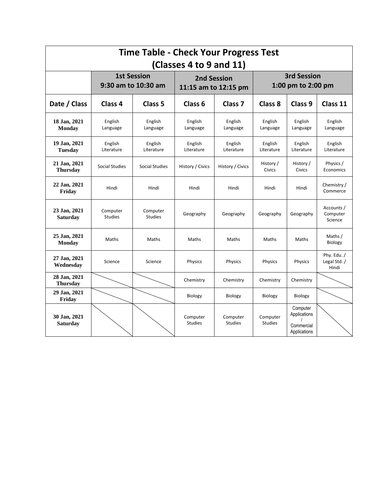<span id="page-1-0"></span>

| <b>Time Table - Check Your Progress Test</b> |                                           |                            |                                            |                            |                                          |                                                        |                                      |  |  |
|----------------------------------------------|-------------------------------------------|----------------------------|--------------------------------------------|----------------------------|------------------------------------------|--------------------------------------------------------|--------------------------------------|--|--|
| (Classes 4 to 9 and 11)                      |                                           |                            |                                            |                            |                                          |                                                        |                                      |  |  |
|                                              | <b>1st Session</b><br>9:30 am to 10:30 am |                            | <b>2nd Session</b><br>11:15 am to 12:15 pm |                            | <b>3rd Session</b><br>1:00 pm to 2:00 pm |                                                        |                                      |  |  |
| Date / Class                                 | Class 4                                   | Class 5                    | Class 6                                    | Class <sub>7</sub>         | Class 8                                  | Class 9                                                | Class 11                             |  |  |
| 18 Jan, 2021<br><b>Monday</b>                | English<br>Language                       | English<br>Language        | English<br>Language                        | English<br>Language        | English<br>Language                      | English<br>Language                                    | English<br>Language                  |  |  |
| 19 Jan, 2021<br><b>Tuesday</b>               | English<br>Literature                     | English<br>Literature      | English<br>Literature                      | English<br>Literature      | English<br>Literature                    | English<br>Literature                                  | English<br>Literature                |  |  |
| 21 Jan, 2021<br><b>Thursday</b>              | Social Studies                            | Social Studies             | History / Civics                           | History / Civics           | History /<br>Civics                      | History /<br><b>Civics</b>                             | Physics /<br>Economics               |  |  |
| 22 Jan, 2021<br>Friday                       | Hindi                                     | Hindi                      | Hindi                                      | Hindi                      | Hindi                                    | Hindi                                                  | Chemistry /<br>Commerce              |  |  |
| 23 Jan, 2021<br><b>Saturday</b>              | Computer<br><b>Studies</b>                | Computer<br><b>Studies</b> | Geography                                  | Geography                  | Geography                                | Geography                                              | Accounts /<br>Computer<br>Science    |  |  |
| 25 Jan, 2021<br><b>Monday</b>                | Maths                                     | Maths                      | Maths                                      | Maths                      | Maths                                    | Maths                                                  | Maths /<br>Biology                   |  |  |
| 27 Jan, 2021<br>Wednesday                    | Science                                   | Science                    | Physics                                    | Physics                    | Physics                                  | Physics                                                | Phy. Edu. /<br>Legal Std. /<br>Hindi |  |  |
| 28 Jan, 2021<br><b>Thursday</b>              |                                           |                            | Chemistry                                  | Chemistry                  | Chemistry                                | Chemistry                                              |                                      |  |  |
| 29 Jan, 2021<br>Friday                       |                                           |                            | Biology                                    | Biology                    | Biology                                  | Biology                                                |                                      |  |  |
| 30 Jan, 2021<br><b>Saturday</b>              |                                           |                            | Computer<br><b>Studies</b>                 | Computer<br><b>Studies</b> | Computer<br><b>Studies</b>               | Computer<br>Applications<br>Commercial<br>Applications |                                      |  |  |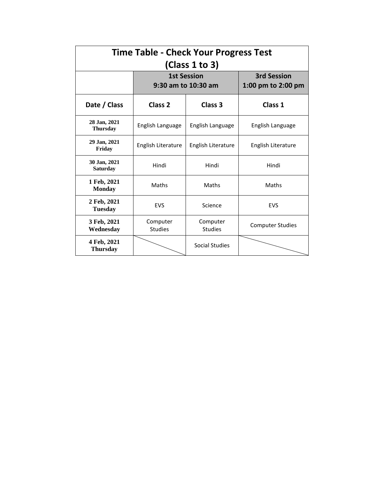| <b>Time Table - Check Your Progress Test</b><br>(Class 1 to 3) |                                           |                                          |                         |  |  |  |  |  |
|----------------------------------------------------------------|-------------------------------------------|------------------------------------------|-------------------------|--|--|--|--|--|
|                                                                | <b>1st Session</b><br>9:30 am to 10:30 am | <b>3rd Session</b><br>1:00 pm to 2:00 pm |                         |  |  |  |  |  |
| Date / Class                                                   | Class <sub>2</sub>                        | Class 3                                  | Class 1                 |  |  |  |  |  |
| 28 Jan, 2021<br><b>Thursday</b>                                | English Language                          | English Language                         | English Language        |  |  |  |  |  |
| 29 Jan, 2021<br>Friday                                         | English Literature                        | English Literature                       | English Literature      |  |  |  |  |  |
| 30 Jan, 2021<br><b>Saturday</b>                                | Hindi                                     | Hindi                                    | Hindi                   |  |  |  |  |  |
| 1 Feb, 2021<br><b>Monday</b>                                   | Maths                                     | Maths                                    | Maths                   |  |  |  |  |  |
| 2 Feb, 2021<br>Tuesday                                         | <b>EVS</b>                                | Science                                  | <b>EVS</b>              |  |  |  |  |  |
| 3 Feb, 2021<br>Wednesday                                       | Computer<br><b>Studies</b>                | Computer<br><b>Studies</b>               | <b>Computer Studies</b> |  |  |  |  |  |
| 4 Feb, 2021<br><b>Thursday</b>                                 |                                           | Social Studies                           |                         |  |  |  |  |  |